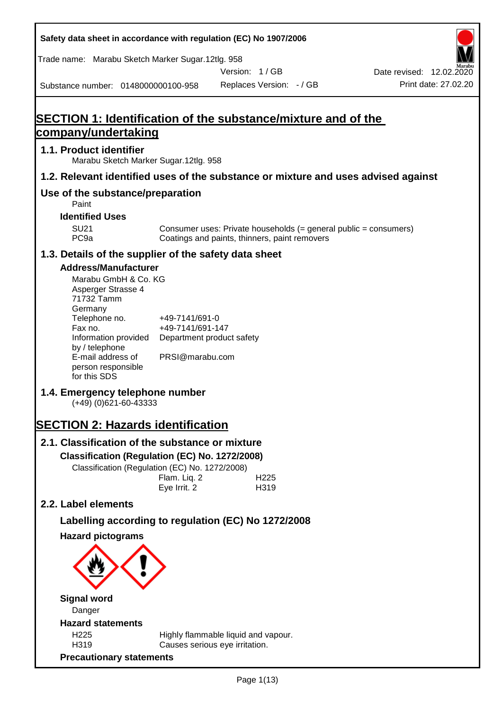| Safety data sheet in accordance with regulation (EC) No 1907/2006                                                                                                                                                                                                                                                                                                                                                                                                                                    |                                                                                                                    |                                                                                                                   |                                                  |
|------------------------------------------------------------------------------------------------------------------------------------------------------------------------------------------------------------------------------------------------------------------------------------------------------------------------------------------------------------------------------------------------------------------------------------------------------------------------------------------------------|--------------------------------------------------------------------------------------------------------------------|-------------------------------------------------------------------------------------------------------------------|--------------------------------------------------|
| Trade name: Marabu Sketch Marker Sugar.12tlg. 958                                                                                                                                                                                                                                                                                                                                                                                                                                                    |                                                                                                                    |                                                                                                                   |                                                  |
| Substance number: 0148000000100-958                                                                                                                                                                                                                                                                                                                                                                                                                                                                  |                                                                                                                    | Version: 1/GB<br>Replaces Version: - / GB                                                                         | Date revised: 12.02.2020<br>Print date: 27.02.20 |
|                                                                                                                                                                                                                                                                                                                                                                                                                                                                                                      |                                                                                                                    |                                                                                                                   |                                                  |
| SECTION 1: Identification of the substance/mixture and of the<br>company/undertaking                                                                                                                                                                                                                                                                                                                                                                                                                 |                                                                                                                    |                                                                                                                   |                                                  |
| 1.1. Product identifier                                                                                                                                                                                                                                                                                                                                                                                                                                                                              |                                                                                                                    |                                                                                                                   |                                                  |
| Marabu Sketch Marker Sugar.12tlg. 958                                                                                                                                                                                                                                                                                                                                                                                                                                                                |                                                                                                                    |                                                                                                                   |                                                  |
| 1.2. Relevant identified uses of the substance or mixture and uses advised against                                                                                                                                                                                                                                                                                                                                                                                                                   |                                                                                                                    |                                                                                                                   |                                                  |
| Use of the substance/preparation<br>Paint                                                                                                                                                                                                                                                                                                                                                                                                                                                            |                                                                                                                    |                                                                                                                   |                                                  |
| <b>Identified Uses</b>                                                                                                                                                                                                                                                                                                                                                                                                                                                                               |                                                                                                                    |                                                                                                                   |                                                  |
| <b>SU21</b><br>PC <sub>9a</sub>                                                                                                                                                                                                                                                                                                                                                                                                                                                                      |                                                                                                                    | Consumer uses: Private households (= general public = consumers)<br>Coatings and paints, thinners, paint removers |                                                  |
| 1.3. Details of the supplier of the safety data sheet                                                                                                                                                                                                                                                                                                                                                                                                                                                |                                                                                                                    |                                                                                                                   |                                                  |
| <b>Address/Manufacturer</b><br>Marabu GmbH & Co. KG<br>Asperger Strasse 4<br>71732 Tamm<br>Germany<br>Telephone no.<br>Fax no.<br>Information provided<br>by / telephone<br>E-mail address of<br>person responsible<br>for this SDS<br>1.4. Emergency telephone number<br>$(+49)$ (0)621-60-43333<br><b>SECTION 2: Hazards identification</b><br>2.1. Classification of the substance or mixture<br>Classification (Regulation (EC) No. 1272/2008)<br>Classification (Regulation (EC) No. 1272/2008) | +49-7141/691-0<br>+49-7141/691-147<br>Department product safety<br>PRSI@marabu.com<br>Flam. Liq. 2<br>Eye Irrit. 2 | H <sub>225</sub><br>H319                                                                                          |                                                  |
| 2.2. Label elements                                                                                                                                                                                                                                                                                                                                                                                                                                                                                  |                                                                                                                    |                                                                                                                   |                                                  |
| Labelling according to regulation (EC) No 1272/2008                                                                                                                                                                                                                                                                                                                                                                                                                                                  |                                                                                                                    |                                                                                                                   |                                                  |
| <b>Hazard pictograms</b>                                                                                                                                                                                                                                                                                                                                                                                                                                                                             |                                                                                                                    |                                                                                                                   |                                                  |
| <b>Signal word</b>                                                                                                                                                                                                                                                                                                                                                                                                                                                                                   |                                                                                                                    |                                                                                                                   |                                                  |
| Danger                                                                                                                                                                                                                                                                                                                                                                                                                                                                                               |                                                                                                                    |                                                                                                                   |                                                  |
| <b>Hazard statements</b><br>H225                                                                                                                                                                                                                                                                                                                                                                                                                                                                     |                                                                                                                    | Highly flammable liquid and vapour.                                                                               |                                                  |
| H319<br><b>Precautionary statements</b>                                                                                                                                                                                                                                                                                                                                                                                                                                                              | Causes serious eye irritation.                                                                                     |                                                                                                                   |                                                  |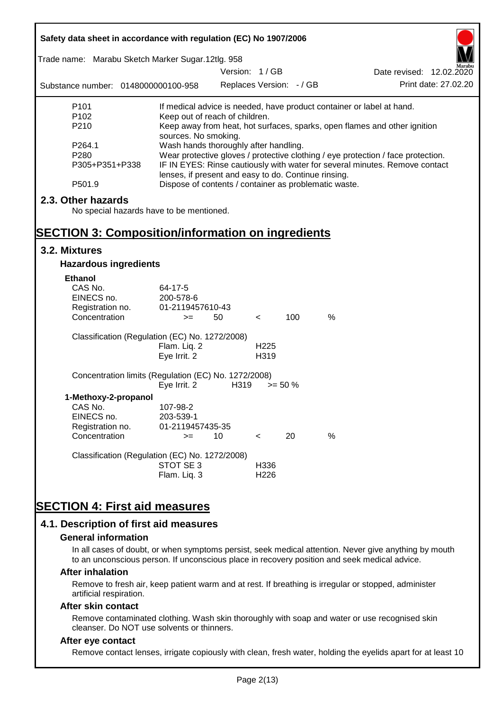| Safety data sheet in accordance with regulation (EC) No 1907/2006                                                          |                                                                                                                                                                                                                                                                  |                          |                          |            |                                                                           |  |
|----------------------------------------------------------------------------------------------------------------------------|------------------------------------------------------------------------------------------------------------------------------------------------------------------------------------------------------------------------------------------------------------------|--------------------------|--------------------------|------------|---------------------------------------------------------------------------|--|
| Trade name: Marabu Sketch Marker Sugar.12tlg. 958                                                                          |                                                                                                                                                                                                                                                                  | Version: 1/GB            |                          |            | Date revised: 12.02.2020                                                  |  |
| Substance number: 0148000000100-958                                                                                        |                                                                                                                                                                                                                                                                  | Replaces Version: - / GB |                          |            | Print date: 27,02.20                                                      |  |
| P <sub>101</sub>                                                                                                           |                                                                                                                                                                                                                                                                  |                          |                          |            | If medical advice is needed, have product container or label at hand.     |  |
| P <sub>102</sub><br>P210                                                                                                   | Keep out of reach of children.<br>sources. No smoking.                                                                                                                                                                                                           |                          |                          |            | Keep away from heat, hot surfaces, sparks, open flames and other ignition |  |
| P264.1<br>P280<br>P305+P351+P338                                                                                           | Wash hands thoroughly after handling.<br>Wear protective gloves / protective clothing / eye protection / face protection.<br>IF IN EYES: Rinse cautiously with water for several minutes. Remove contact<br>lenses, if present and easy to do. Continue rinsing. |                          |                          |            |                                                                           |  |
| P501.9                                                                                                                     |                                                                                                                                                                                                                                                                  |                          |                          |            | Dispose of contents / container as problematic waste.                     |  |
| 2.3. Other hazards<br>No special hazards have to be mentioned.<br><b>SECTION 3: Composition/information on ingredients</b> |                                                                                                                                                                                                                                                                  |                          |                          |            |                                                                           |  |
| 3.2. Mixtures                                                                                                              |                                                                                                                                                                                                                                                                  |                          |                          |            |                                                                           |  |
| <b>Hazardous ingredients</b>                                                                                               |                                                                                                                                                                                                                                                                  |                          |                          |            |                                                                           |  |
| <b>Ethanol</b>                                                                                                             |                                                                                                                                                                                                                                                                  |                          |                          |            |                                                                           |  |
| CAS No.<br>EINECS no.<br>Registration no.<br>Concentration                                                                 | 64-17-5<br>200-578-6<br>01-2119457610-43<br>$>=$                                                                                                                                                                                                                 | 50                       | $\,<\,$                  | 100        | $\%$                                                                      |  |
| Classification (Regulation (EC) No. 1272/2008)                                                                             |                                                                                                                                                                                                                                                                  |                          |                          |            |                                                                           |  |
|                                                                                                                            | Flam. Liq. 2<br>Eye Irrit. 2                                                                                                                                                                                                                                     |                          | H <sub>225</sub><br>H319 |            |                                                                           |  |
| Concentration limits (Regulation (EC) No. 1272/2008)                                                                       | Eye Irrit. 2                                                                                                                                                                                                                                                     | H319                     |                          | $>= 50 \%$ |                                                                           |  |
| 1-Methoxy-2-propanol<br>CAS No.<br>EINECS no.<br>Registration no.                                                          | 107-98-2<br>203-539-1<br>01-2119457435-35                                                                                                                                                                                                                        |                          |                          |            |                                                                           |  |
| Concentration                                                                                                              | $>=$                                                                                                                                                                                                                                                             | 10                       | $\,<\,$                  | 20         | %                                                                         |  |
| Classification (Regulation (EC) No. 1272/2008)                                                                             | STOT SE3                                                                                                                                                                                                                                                         |                          | H336                     |            |                                                                           |  |
|                                                                                                                            | Flam. Liq. 3                                                                                                                                                                                                                                                     |                          | H <sub>226</sub>         |            |                                                                           |  |
|                                                                                                                            |                                                                                                                                                                                                                                                                  |                          |                          |            |                                                                           |  |
| <b>SECTION 4: First aid measures</b>                                                                                       |                                                                                                                                                                                                                                                                  |                          |                          |            |                                                                           |  |
| 4.1. Description of first aid measures                                                                                     |                                                                                                                                                                                                                                                                  |                          |                          |            |                                                                           |  |

#### **General information**

In all cases of doubt, or when symptoms persist, seek medical attention. Never give anything by mouth to an unconscious person. If unconscious place in recovery position and seek medical advice.

#### **After inhalation**

Remove to fresh air, keep patient warm and at rest. If breathing is irregular or stopped, administer artificial respiration.

#### **After skin contact**

Remove contaminated clothing. Wash skin thoroughly with soap and water or use recognised skin cleanser. Do NOT use solvents or thinners.

# **After eye contact**

Remove contact lenses, irrigate copiously with clean, fresh water, holding the eyelids apart for at least 10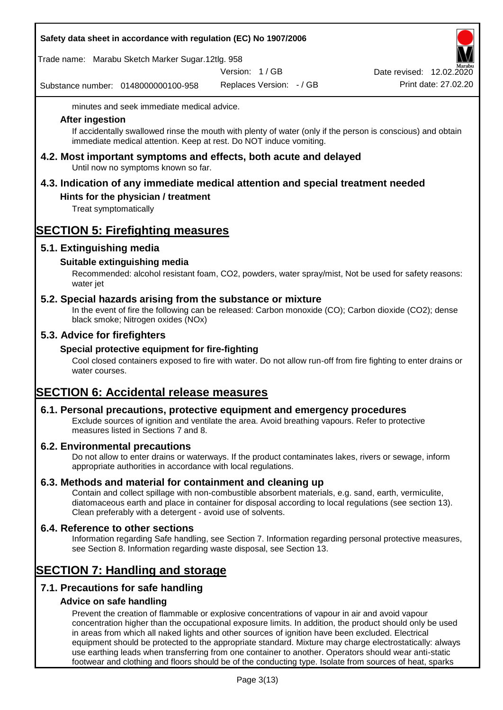# **Safety data sheet in accordance with regulation (EC) No 1907/2006**

Trade name: Marabu Sketch Marker Sugar.12tlg. 958

Version: 1 / GB

Substance number: 0148000000100-958

Replaces Version: - / GB Print date: 27.02.20 Date revised: 12.02.2020

minutes and seek immediate medical advice.

#### **After ingestion**

If accidentally swallowed rinse the mouth with plenty of water (only if the person is conscious) and obtain immediate medical attention. Keep at rest. Do NOT induce vomiting.

**4.2. Most important symptoms and effects, both acute and delayed** Until now no symptoms known so far.

# **4.3. Indication of any immediate medical attention and special treatment needed**

# **Hints for the physician / treatment**

Treat symptomatically

# **SECTION 5: Firefighting measures**

# **5.1. Extinguishing media**

# **Suitable extinguishing media**

Recommended: alcohol resistant foam, CO2, powders, water spray/mist, Not be used for safety reasons: water jet

# **5.2. Special hazards arising from the substance or mixture**

In the event of fire the following can be released: Carbon monoxide (CO); Carbon dioxide (CO2); dense black smoke; Nitrogen oxides (NOx)

# **5.3. Advice for firefighters**

# **Special protective equipment for fire-fighting**

Cool closed containers exposed to fire with water. Do not allow run-off from fire fighting to enter drains or water courses.

# **SECTION 6: Accidental release measures**

# **6.1. Personal precautions, protective equipment and emergency procedures**

Exclude sources of ignition and ventilate the area. Avoid breathing vapours. Refer to protective measures listed in Sections 7 and 8.

# **6.2. Environmental precautions**

Do not allow to enter drains or waterways. If the product contaminates lakes, rivers or sewage, inform appropriate authorities in accordance with local regulations.

# **6.3. Methods and material for containment and cleaning up**

Contain and collect spillage with non-combustible absorbent materials, e.g. sand, earth, vermiculite, diatomaceous earth and place in container for disposal according to local regulations (see section 13). Clean preferably with a detergent - avoid use of solvents.

# **6.4. Reference to other sections**

Information regarding Safe handling, see Section 7. Information regarding personal protective measures, see Section 8. Information regarding waste disposal, see Section 13.

# **SECTION 7: Handling and storage**

# **7.1. Precautions for safe handling**

# **Advice on safe handling**

Prevent the creation of flammable or explosive concentrations of vapour in air and avoid vapour concentration higher than the occupational exposure limits. In addition, the product should only be used in areas from which all naked lights and other sources of ignition have been excluded. Electrical equipment should be protected to the appropriate standard. Mixture may charge electrostatically: always use earthing leads when transferring from one container to another. Operators should wear anti-static footwear and clothing and floors should be of the conducting type. Isolate from sources of heat, sparks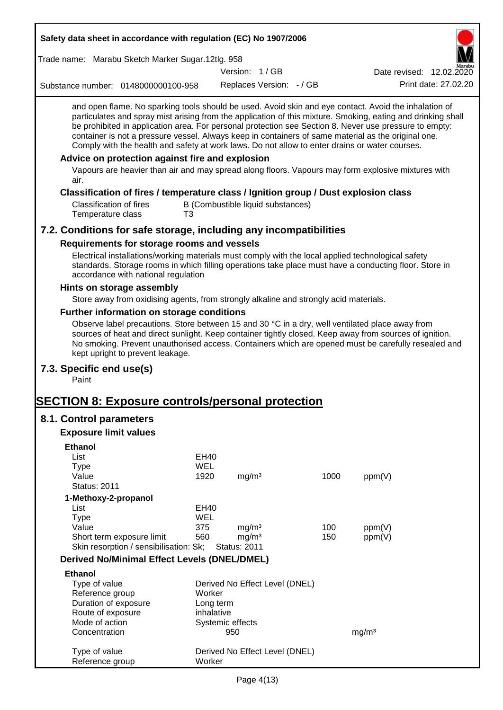| Safety data sheet in accordance with regulation (EC) No 1907/2006                                                                                                                                                                                                                                                                                                                                                                                                                                                                                                                                                                                                                                         |                    |                                |                                   |      |                          |
|-----------------------------------------------------------------------------------------------------------------------------------------------------------------------------------------------------------------------------------------------------------------------------------------------------------------------------------------------------------------------------------------------------------------------------------------------------------------------------------------------------------------------------------------------------------------------------------------------------------------------------------------------------------------------------------------------------------|--------------------|--------------------------------|-----------------------------------|------|--------------------------|
| Trade name: Marabu Sketch Marker Sugar.12tlg. 958                                                                                                                                                                                                                                                                                                                                                                                                                                                                                                                                                                                                                                                         |                    |                                |                                   |      |                          |
|                                                                                                                                                                                                                                                                                                                                                                                                                                                                                                                                                                                                                                                                                                           |                    | Version: 1/GB                  |                                   |      | Date revised: 12.02.2020 |
| Substance number: 0148000000100-958                                                                                                                                                                                                                                                                                                                                                                                                                                                                                                                                                                                                                                                                       |                    |                                | Replaces Version: - / GB          |      | Print date: 27.02.20     |
| and open flame. No sparking tools should be used. Avoid skin and eye contact. Avoid the inhalation of<br>particulates and spray mist arising from the application of this mixture. Smoking, eating and drinking shall<br>be prohibited in application area. For personal protection see Section 8. Never use pressure to empty:<br>container is not a pressure vessel. Always keep in containers of same material as the original one.<br>Comply with the health and safety at work laws. Do not allow to enter drains or water courses.<br>Advice on protection against fire and explosion<br>Vapours are heavier than air and may spread along floors. Vapours may form explosive mixtures with<br>air. |                    |                                |                                   |      |                          |
| Classification of fires / temperature class / Ignition group / Dust explosion class<br><b>Classification of fires</b><br>Temperature class                                                                                                                                                                                                                                                                                                                                                                                                                                                                                                                                                                | T3                 |                                | B (Combustible liquid substances) |      |                          |
| 7.2. Conditions for safe storage, including any incompatibilities                                                                                                                                                                                                                                                                                                                                                                                                                                                                                                                                                                                                                                         |                    |                                |                                   |      |                          |
| Requirements for storage rooms and vessels                                                                                                                                                                                                                                                                                                                                                                                                                                                                                                                                                                                                                                                                |                    |                                |                                   |      |                          |
| Electrical installations/working materials must comply with the local applied technological safety<br>standards. Storage rooms in which filling operations take place must have a conducting floor. Store in<br>accordance with national regulation                                                                                                                                                                                                                                                                                                                                                                                                                                                       |                    |                                |                                   |      |                          |
| Hints on storage assembly                                                                                                                                                                                                                                                                                                                                                                                                                                                                                                                                                                                                                                                                                 |                    |                                |                                   |      |                          |
| Store away from oxidising agents, from strongly alkaline and strongly acid materials.                                                                                                                                                                                                                                                                                                                                                                                                                                                                                                                                                                                                                     |                    |                                |                                   |      |                          |
| Further information on storage conditions                                                                                                                                                                                                                                                                                                                                                                                                                                                                                                                                                                                                                                                                 |                    |                                |                                   |      |                          |
| Observe label precautions. Store between 15 and 30 °C in a dry, well ventilated place away from<br>sources of heat and direct sunlight. Keep container tightly closed. Keep away from sources of ignition.<br>No smoking. Prevent unauthorised access. Containers which are opened must be carefully resealed and<br>kept upright to prevent leakage.                                                                                                                                                                                                                                                                                                                                                     |                    |                                |                                   |      |                          |
| 7.3. Specific end use(s)<br>Paint                                                                                                                                                                                                                                                                                                                                                                                                                                                                                                                                                                                                                                                                         |                    |                                |                                   |      |                          |
| <b>SECTION 8: Exposure controls/personal protection</b>                                                                                                                                                                                                                                                                                                                                                                                                                                                                                                                                                                                                                                                   |                    |                                |                                   |      |                          |
| 8.1. Control parameters                                                                                                                                                                                                                                                                                                                                                                                                                                                                                                                                                                                                                                                                                   |                    |                                |                                   |      |                          |
| <b>Exposure limit values</b>                                                                                                                                                                                                                                                                                                                                                                                                                                                                                                                                                                                                                                                                              |                    |                                |                                   |      |                          |
| <b>Ethanol</b>                                                                                                                                                                                                                                                                                                                                                                                                                                                                                                                                                                                                                                                                                            |                    |                                |                                   |      |                          |
| List                                                                                                                                                                                                                                                                                                                                                                                                                                                                                                                                                                                                                                                                                                      | EH40               |                                |                                   |      |                          |
| <b>Type</b>                                                                                                                                                                                                                                                                                                                                                                                                                                                                                                                                                                                                                                                                                               | <b>WEL</b>         |                                |                                   |      |                          |
| Value                                                                                                                                                                                                                                                                                                                                                                                                                                                                                                                                                                                                                                                                                                     | 1920               | mg/m <sup>3</sup>              |                                   | 1000 | ppm(V)                   |
| <b>Status: 2011</b>                                                                                                                                                                                                                                                                                                                                                                                                                                                                                                                                                                                                                                                                                       |                    |                                |                                   |      |                          |
| 1-Methoxy-2-propanol                                                                                                                                                                                                                                                                                                                                                                                                                                                                                                                                                                                                                                                                                      |                    |                                |                                   |      |                          |
| List<br><b>Type</b>                                                                                                                                                                                                                                                                                                                                                                                                                                                                                                                                                                                                                                                                                       | EH40<br><b>WEL</b> |                                |                                   |      |                          |
| Value                                                                                                                                                                                                                                                                                                                                                                                                                                                                                                                                                                                                                                                                                                     | 375                | mg/m <sup>3</sup>              |                                   | 100  | ppm(V)                   |
| Short term exposure limit                                                                                                                                                                                                                                                                                                                                                                                                                                                                                                                                                                                                                                                                                 | 560                | mg/m <sup>3</sup>              |                                   | 150  | ppm(V)                   |
| Skin resorption / sensibilisation: Sk;                                                                                                                                                                                                                                                                                                                                                                                                                                                                                                                                                                                                                                                                    |                    | <b>Status: 2011</b>            |                                   |      |                          |
| <b>Derived No/Minimal Effect Levels (DNEL/DMEL)</b>                                                                                                                                                                                                                                                                                                                                                                                                                                                                                                                                                                                                                                                       |                    |                                |                                   |      |                          |
| <b>Ethanol</b>                                                                                                                                                                                                                                                                                                                                                                                                                                                                                                                                                                                                                                                                                            |                    |                                |                                   |      |                          |
| Type of value                                                                                                                                                                                                                                                                                                                                                                                                                                                                                                                                                                                                                                                                                             |                    |                                | Derived No Effect Level (DNEL)    |      |                          |
| Reference group                                                                                                                                                                                                                                                                                                                                                                                                                                                                                                                                                                                                                                                                                           | Worker             |                                |                                   |      |                          |
| Duration of exposure                                                                                                                                                                                                                                                                                                                                                                                                                                                                                                                                                                                                                                                                                      |                    | Long term                      |                                   |      |                          |
| Route of exposure<br>Mode of action                                                                                                                                                                                                                                                                                                                                                                                                                                                                                                                                                                                                                                                                       |                    | inhalative<br>Systemic effects |                                   |      |                          |
| Concentration                                                                                                                                                                                                                                                                                                                                                                                                                                                                                                                                                                                                                                                                                             |                    | 950                            |                                   |      | mg/m <sup>3</sup>        |
|                                                                                                                                                                                                                                                                                                                                                                                                                                                                                                                                                                                                                                                                                                           |                    |                                |                                   |      |                          |
| Type of value<br>Reference group                                                                                                                                                                                                                                                                                                                                                                                                                                                                                                                                                                                                                                                                          | Worker             |                                | Derived No Effect Level (DNEL)    |      |                          |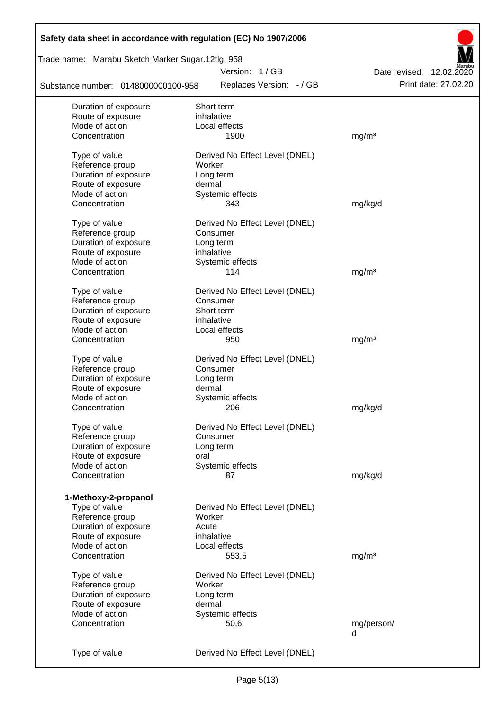| Safety data sheet in accordance with regulation (EC) No 1907/2006 |                                |                          |
|-------------------------------------------------------------------|--------------------------------|--------------------------|
| Trade name: Marabu Sketch Marker Sugar.12tlg. 958                 |                                |                          |
|                                                                   | Version: 1/GB                  | Date revised: 12.02.2020 |
| Substance number: 0148000000100-958                               | Replaces Version: - / GB       | Print date: 27.02.20     |
| Duration of exposure                                              | Short term                     |                          |
| Route of exposure                                                 | inhalative                     |                          |
| Mode of action                                                    | Local effects                  |                          |
| Concentration                                                     | 1900                           | mg/m <sup>3</sup>        |
| Type of value                                                     | Derived No Effect Level (DNEL) |                          |
| Reference group                                                   | Worker                         |                          |
| Duration of exposure                                              | Long term                      |                          |
| Route of exposure                                                 | dermal                         |                          |
| Mode of action                                                    | Systemic effects               |                          |
| Concentration                                                     | 343                            | mg/kg/d                  |
| Type of value                                                     | Derived No Effect Level (DNEL) |                          |
| Reference group                                                   | Consumer                       |                          |
| Duration of exposure                                              | Long term                      |                          |
| Route of exposure                                                 | inhalative                     |                          |
| Mode of action                                                    | Systemic effects               |                          |
| Concentration                                                     | 114                            | mg/m <sup>3</sup>        |
|                                                                   |                                |                          |
| Type of value                                                     | Derived No Effect Level (DNEL) |                          |
| Reference group                                                   | Consumer                       |                          |
| Duration of exposure                                              | Short term                     |                          |
| Route of exposure                                                 | inhalative                     |                          |
| Mode of action                                                    | Local effects                  |                          |
| Concentration                                                     | 950                            | mg/m <sup>3</sup>        |
| Type of value                                                     | Derived No Effect Level (DNEL) |                          |
| Reference group                                                   | Consumer                       |                          |
| Duration of exposure                                              | Long term                      |                          |
| Route of exposure                                                 | dermal                         |                          |
| Mode of action                                                    | Systemic effects               |                          |
| Concentration                                                     | 206                            | mg/kg/d                  |
|                                                                   |                                |                          |
| Type of value                                                     | Derived No Effect Level (DNEL) |                          |
| Reference group                                                   | Consumer                       |                          |
| Duration of exposure                                              | Long term                      |                          |
| Route of exposure                                                 | oral                           |                          |
| Mode of action                                                    | Systemic effects               |                          |
| Concentration                                                     | 87                             | mg/kg/d                  |
| 1-Methoxy-2-propanol                                              |                                |                          |
| Type of value                                                     | Derived No Effect Level (DNEL) |                          |
| Reference group                                                   | Worker                         |                          |
| Duration of exposure                                              | Acute                          |                          |
| Route of exposure                                                 | inhalative                     |                          |
| Mode of action                                                    | Local effects                  |                          |
| Concentration                                                     | 553,5                          | mg/m <sup>3</sup>        |
|                                                                   |                                |                          |
| Type of value                                                     | Derived No Effect Level (DNEL) |                          |
| Reference group                                                   | Worker                         |                          |
| Duration of exposure                                              | Long term                      |                          |
| Route of exposure<br>Mode of action                               | dermal                         |                          |
|                                                                   | Systemic effects               |                          |
| Concentration                                                     | 50,6                           | mg/person/<br>d          |
|                                                                   |                                |                          |
| Type of value                                                     | Derived No Effect Level (DNEL) |                          |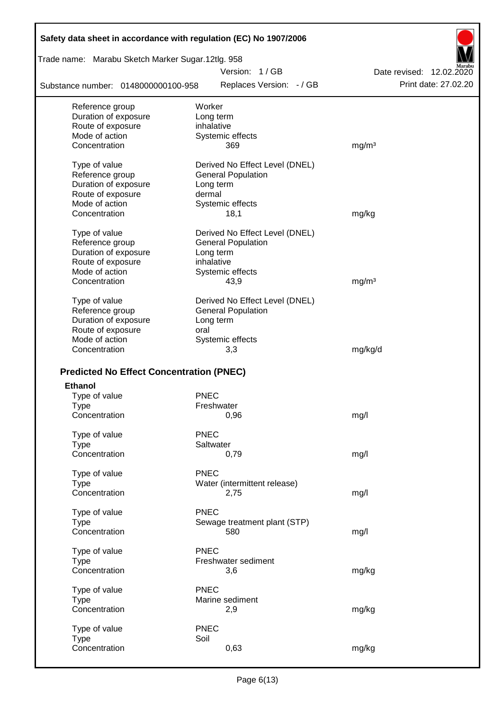| Safety data sheet in accordance with regulation (EC) No 1907/2006 |                                           |                                                  |
|-------------------------------------------------------------------|-------------------------------------------|--------------------------------------------------|
| Trade name: Marabu Sketch Marker Sugar.12tlg. 958                 |                                           |                                                  |
| Substance number: 0148000000100-958                               | Version: 1/GB<br>Replaces Version: - / GB | Date revised: 12.02.2020<br>Print date: 27.02.20 |
| Reference group                                                   | Worker                                    |                                                  |
| Duration of exposure                                              | Long term                                 |                                                  |
| Route of exposure                                                 | inhalative                                |                                                  |
| Mode of action                                                    | Systemic effects                          |                                                  |
| Concentration                                                     | 369                                       | mg/m <sup>3</sup>                                |
| Type of value                                                     | Derived No Effect Level (DNEL)            |                                                  |
| Reference group                                                   | <b>General Population</b>                 |                                                  |
| Duration of exposure                                              | Long term                                 |                                                  |
| Route of exposure                                                 | dermal                                    |                                                  |
| Mode of action                                                    | Systemic effects                          |                                                  |
| Concentration                                                     | 18,1                                      | mg/kg                                            |
| Type of value                                                     | Derived No Effect Level (DNEL)            |                                                  |
| Reference group                                                   | <b>General Population</b>                 |                                                  |
| Duration of exposure                                              | Long term                                 |                                                  |
| Route of exposure                                                 | inhalative                                |                                                  |
| Mode of action                                                    | Systemic effects                          |                                                  |
| Concentration                                                     | 43,9                                      | mg/m <sup>3</sup>                                |
| Type of value                                                     | Derived No Effect Level (DNEL)            |                                                  |
| Reference group                                                   | <b>General Population</b>                 |                                                  |
| Duration of exposure                                              | Long term                                 |                                                  |
| Route of exposure                                                 | oral                                      |                                                  |
| Mode of action                                                    | Systemic effects                          |                                                  |
| Concentration                                                     | 3,3                                       | mg/kg/d                                          |
|                                                                   |                                           |                                                  |
| <b>Predicted No Effect Concentration (PNEC)</b>                   |                                           |                                                  |
| <b>Ethanol</b>                                                    |                                           |                                                  |
| Type of value                                                     | <b>PNEC</b>                               |                                                  |
| Type                                                              | Freshwater                                |                                                  |
| Concentration                                                     | 0,96                                      | mg/l                                             |
| Type of value                                                     | <b>PNEC</b>                               |                                                  |
| <b>Type</b>                                                       | Saltwater                                 |                                                  |
| Concentration                                                     | 0,79                                      | mg/l                                             |
| Type of value                                                     | <b>PNEC</b>                               |                                                  |
| <b>Type</b>                                                       | Water (intermittent release)              |                                                  |
| Concentration                                                     | 2,75                                      | mg/l                                             |
| Type of value                                                     | <b>PNEC</b>                               |                                                  |
| <b>Type</b>                                                       | Sewage treatment plant (STP)              |                                                  |
| Concentration                                                     | 580                                       | mg/l                                             |
| Type of value                                                     | <b>PNEC</b>                               |                                                  |
| <b>Type</b>                                                       | Freshwater sediment                       |                                                  |
| Concentration                                                     | 3,6                                       | mg/kg                                            |
|                                                                   | <b>PNEC</b>                               |                                                  |
| Type of value                                                     | Marine sediment                           |                                                  |
| <b>Type</b><br>Concentration                                      | 2,9                                       | mg/kg                                            |
|                                                                   |                                           |                                                  |
| Type of value                                                     | <b>PNEC</b>                               |                                                  |
| <b>Type</b>                                                       | Soil                                      |                                                  |
| Concentration                                                     | 0,63                                      | mg/kg                                            |
|                                                                   |                                           |                                                  |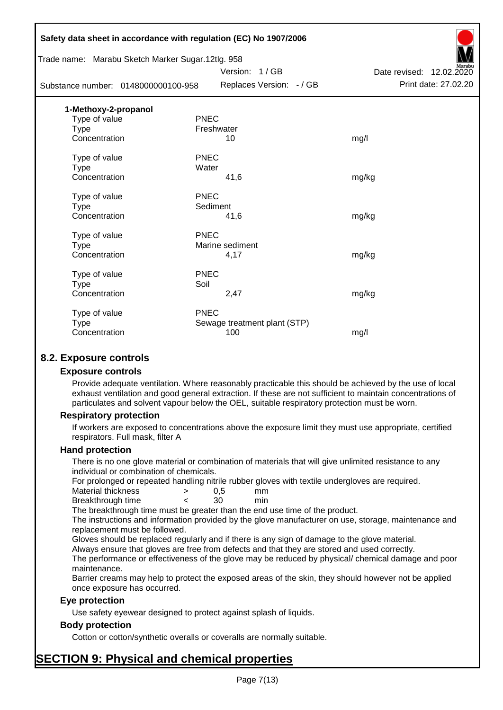|                                                   | Safety data sheet in accordance with regulation (EC) No 1907/2006 |                          |
|---------------------------------------------------|-------------------------------------------------------------------|--------------------------|
| Trade name: Marabu Sketch Marker Sugar.12tlg. 958 |                                                                   |                          |
|                                                   | Version: 1/GB                                                     | Date revised: 12.02.2020 |
| Substance number: 0148000000100-958               | Replaces Version: - / GB                                          | Print date: 27.02.20     |
| 1-Methoxy-2-propanol                              |                                                                   |                          |
| Type of value                                     | <b>PNEC</b>                                                       |                          |
| Type                                              | Freshwater                                                        |                          |
| Concentration                                     | 10                                                                | mg/l                     |
| Type of value                                     | <b>PNEC</b>                                                       |                          |
| <b>Type</b>                                       | Water                                                             |                          |
| Concentration                                     | 41,6                                                              | mg/kg                    |
| Type of value                                     | <b>PNEC</b>                                                       |                          |
| <b>Type</b>                                       | Sediment                                                          |                          |
| Concentration                                     | 41,6                                                              | mg/kg                    |
| Type of value                                     | <b>PNEC</b>                                                       |                          |
| <b>Type</b>                                       | Marine sediment                                                   |                          |
| Concentration                                     | 4,17                                                              | mg/kg                    |
| Type of value                                     | <b>PNEC</b>                                                       |                          |
| Type                                              | Soil                                                              |                          |
| Concentration                                     | 2,47                                                              | mg/kg                    |
| Type of value                                     | <b>PNEC</b>                                                       |                          |
| <b>Type</b>                                       | Sewage treatment plant (STP)                                      |                          |
| Concentration                                     | 100                                                               | mg/l                     |
|                                                   |                                                                   |                          |

# **8.2. Exposure controls**

#### **Exposure controls**

Provide adequate ventilation. Where reasonably practicable this should be achieved by the use of local exhaust ventilation and good general extraction. If these are not sufficient to maintain concentrations of particulates and solvent vapour below the OEL, suitable respiratory protection must be worn.

#### **Respiratory protection**

If workers are exposed to concentrations above the exposure limit they must use appropriate, certified respirators. Full mask, filter A

#### **Hand protection**

There is no one glove material or combination of materials that will give unlimited resistance to any individual or combination of chemicals.

For prolonged or repeated handling nitrile rubber gloves with textile undergloves are required.

| Material thickness | 0.5 | mm  |
|--------------------|-----|-----|
| Breakthrough time  | 30  | min |

The breakthrough time must be greater than the end use time of the product.

The instructions and information provided by the glove manufacturer on use, storage, maintenance and replacement must be followed.

Gloves should be replaced regularly and if there is any sign of damage to the glove material.

Always ensure that gloves are free from defects and that they are stored and used correctly.

The performance or effectiveness of the glove may be reduced by physical/ chemical damage and poor maintenance.

Barrier creams may help to protect the exposed areas of the skin, they should however not be applied once exposure has occurred.

# **Eye protection**

Use safety eyewear designed to protect against splash of liquids.

# **Body protection**

Cotton or cotton/synthetic overalls or coveralls are normally suitable.

# **SECTION 9: Physical and chemical properties**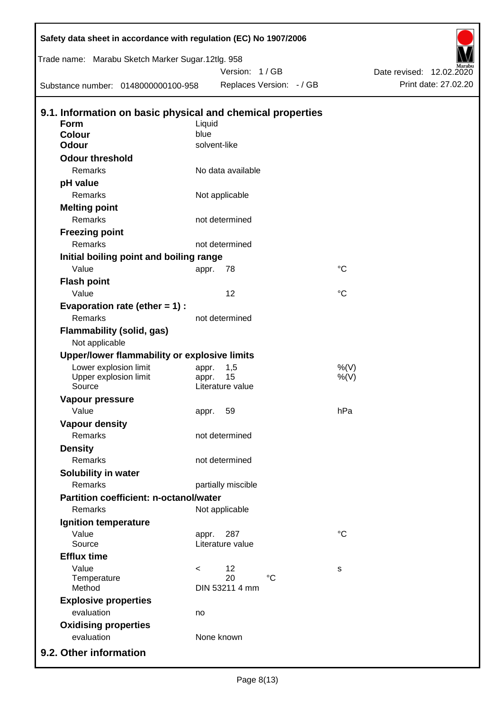|                             | Safety data sheet in accordance with regulation (EC) No 1907/2006 |              |                      |                          |             |                                                  |
|-----------------------------|-------------------------------------------------------------------|--------------|----------------------|--------------------------|-------------|--------------------------------------------------|
|                             | Trade name: Marabu Sketch Marker Sugar.12tlg. 958                 |              |                      |                          |             |                                                  |
|                             | Substance number: 0148000000100-958                               |              | Version: 1/GB        | Replaces Version: - / GB |             | Date revised: 12.02.2020<br>Print date: 27.02.20 |
|                             |                                                                   |              |                      |                          |             |                                                  |
|                             | 9.1. Information on basic physical and chemical properties        |              |                      |                          |             |                                                  |
| <b>Form</b>                 |                                                                   | Liquid       |                      |                          |             |                                                  |
| Colour                      |                                                                   | blue         |                      |                          |             |                                                  |
| <b>Odour</b>                |                                                                   | solvent-like |                      |                          |             |                                                  |
| <b>Odour threshold</b>      |                                                                   |              |                      |                          |             |                                                  |
| Remarks                     |                                                                   |              | No data available    |                          |             |                                                  |
| pH value                    |                                                                   |              |                      |                          |             |                                                  |
| Remarks                     |                                                                   |              | Not applicable       |                          |             |                                                  |
| <b>Melting point</b>        |                                                                   |              |                      |                          |             |                                                  |
| Remarks                     |                                                                   |              | not determined       |                          |             |                                                  |
| <b>Freezing point</b>       |                                                                   |              |                      |                          |             |                                                  |
| Remarks                     |                                                                   |              | not determined       |                          |             |                                                  |
|                             | Initial boiling point and boiling range                           |              |                      |                          |             |                                                  |
| Value                       |                                                                   | appr.        | 78                   |                          | $^{\circ}C$ |                                                  |
| <b>Flash point</b>          |                                                                   |              |                      |                          |             |                                                  |
| Value                       |                                                                   |              | 12                   |                          | $^{\circ}C$ |                                                  |
|                             | Evaporation rate (ether $= 1$ ) :                                 |              |                      |                          |             |                                                  |
| Remarks                     |                                                                   |              | not determined       |                          |             |                                                  |
| Not applicable              | Flammability (solid, gas)                                         |              |                      |                          |             |                                                  |
|                             | Upper/lower flammability or explosive limits                      |              |                      |                          |             |                                                  |
|                             | Lower explosion limit                                             | appr.        | 1,5                  |                          | %(V)        |                                                  |
|                             | Upper explosion limit                                             | appr.        | 15                   |                          | $%$ (V)     |                                                  |
| Source                      |                                                                   |              | Literature value     |                          |             |                                                  |
| <b>Vapour pressure</b>      |                                                                   |              |                      |                          |             |                                                  |
| Value                       |                                                                   | appr.        | 59                   |                          | hPa         |                                                  |
| <b>Vapour density</b>       |                                                                   |              |                      |                          |             |                                                  |
| Remarks                     |                                                                   |              | not determined       |                          |             |                                                  |
| <b>Density</b>              |                                                                   |              |                      |                          |             |                                                  |
| Remarks                     |                                                                   |              | not determined       |                          |             |                                                  |
| Solubility in water         |                                                                   |              |                      |                          |             |                                                  |
| Remarks                     |                                                                   |              | partially miscible   |                          |             |                                                  |
|                             | <b>Partition coefficient: n-octanol/water</b>                     |              |                      |                          |             |                                                  |
| Remarks                     |                                                                   |              | Not applicable       |                          |             |                                                  |
| Ignition temperature        |                                                                   |              |                      |                          |             |                                                  |
| Value                       |                                                                   | appr.        | 287                  |                          | $^{\circ}C$ |                                                  |
| Source                      |                                                                   |              | Literature value     |                          |             |                                                  |
| <b>Efflux time</b>          |                                                                   |              |                      |                          |             |                                                  |
| Value                       |                                                                   | $\,<\,$      | 12                   |                          | s           |                                                  |
| Temperature<br>Method       |                                                                   |              | 20<br>DIN 53211 4 mm | $\rm ^{\circ}C$          |             |                                                  |
| <b>Explosive properties</b> |                                                                   |              |                      |                          |             |                                                  |
| evaluation                  |                                                                   | no           |                      |                          |             |                                                  |
| <b>Oxidising properties</b> |                                                                   |              |                      |                          |             |                                                  |
| evaluation                  |                                                                   |              | None known           |                          |             |                                                  |
|                             |                                                                   |              |                      |                          |             |                                                  |
| 9.2. Other information      |                                                                   |              |                      |                          |             |                                                  |

D

 $\mathsf{l}$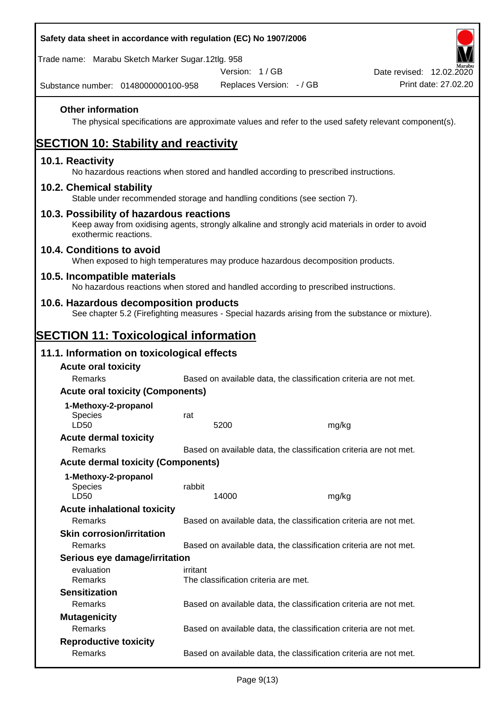| Safety data sheet in accordance with regulation (EC) No 1907/2006                                                                                                     |          |                                      |                          |       |                                                                   |
|-----------------------------------------------------------------------------------------------------------------------------------------------------------------------|----------|--------------------------------------|--------------------------|-------|-------------------------------------------------------------------|
| Trade name: Marabu Sketch Marker Sugar.12tlg. 958                                                                                                                     |          | Version: 1/GB                        |                          |       | Date revised: 12.02.2020                                          |
| Substance number: 0148000000100-958                                                                                                                                   |          |                                      | Replaces Version: - / GB |       | Print date: 27,02.20                                              |
| <b>Other information</b><br>The physical specifications are approximate values and refer to the used safety relevant component(s).                                    |          |                                      |                          |       |                                                                   |
| <b>SECTION 10: Stability and reactivity</b>                                                                                                                           |          |                                      |                          |       |                                                                   |
| 10.1. Reactivity<br>No hazardous reactions when stored and handled according to prescribed instructions.                                                              |          |                                      |                          |       |                                                                   |
| 10.2. Chemical stability<br>Stable under recommended storage and handling conditions (see section 7).                                                                 |          |                                      |                          |       |                                                                   |
| 10.3. Possibility of hazardous reactions<br>Keep away from oxidising agents, strongly alkaline and strongly acid materials in order to avoid<br>exothermic reactions. |          |                                      |                          |       |                                                                   |
| 10.4. Conditions to avoid<br>When exposed to high temperatures may produce hazardous decomposition products.                                                          |          |                                      |                          |       |                                                                   |
| 10.5. Incompatible materials<br>No hazardous reactions when stored and handled according to prescribed instructions.                                                  |          |                                      |                          |       |                                                                   |
| 10.6. Hazardous decomposition products<br>See chapter 5.2 (Firefighting measures - Special hazards arising from the substance or mixture).                            |          |                                      |                          |       |                                                                   |
| <b>SECTION 11: Toxicological information</b>                                                                                                                          |          |                                      |                          |       |                                                                   |
| 11.1. Information on toxicological effects                                                                                                                            |          |                                      |                          |       |                                                                   |
| <b>Acute oral toxicity</b><br>Remarks                                                                                                                                 |          |                                      |                          |       | Based on available data, the classification criteria are not met. |
| <b>Acute oral toxicity (Components)</b>                                                                                                                               |          |                                      |                          |       |                                                                   |
| 1-Methoxy-2-propanol                                                                                                                                                  |          |                                      |                          |       |                                                                   |
| <b>Species</b>                                                                                                                                                        | rat      |                                      |                          |       |                                                                   |
| LD50                                                                                                                                                                  |          | 5200                                 |                          | mg/kg |                                                                   |
| <b>Acute dermal toxicity</b><br>Remarks                                                                                                                               |          |                                      |                          |       | Based on available data, the classification criteria are not met. |
| <b>Acute dermal toxicity (Components)</b>                                                                                                                             |          |                                      |                          |       |                                                                   |
|                                                                                                                                                                       |          |                                      |                          |       |                                                                   |
| 1-Methoxy-2-propanol<br><b>Species</b>                                                                                                                                | rabbit   |                                      |                          |       |                                                                   |
| LD50                                                                                                                                                                  |          | 14000                                |                          | mg/kg |                                                                   |
| <b>Acute inhalational toxicity</b>                                                                                                                                    |          |                                      |                          |       |                                                                   |
| Remarks                                                                                                                                                               |          |                                      |                          |       | Based on available data, the classification criteria are not met. |
| <b>Skin corrosion/irritation</b><br>Remarks                                                                                                                           |          |                                      |                          |       | Based on available data, the classification criteria are not met. |
| Serious eye damage/irritation                                                                                                                                         |          |                                      |                          |       |                                                                   |
| evaluation<br>Remarks                                                                                                                                                 | irritant | The classification criteria are met. |                          |       |                                                                   |
| <b>Sensitization</b>                                                                                                                                                  |          |                                      |                          |       |                                                                   |
| Remarks                                                                                                                                                               |          |                                      |                          |       | Based on available data, the classification criteria are not met. |
| <b>Mutagenicity</b>                                                                                                                                                   |          |                                      |                          |       |                                                                   |
| Remarks                                                                                                                                                               |          |                                      |                          |       | Based on available data, the classification criteria are not met. |
| <b>Reproductive toxicity</b>                                                                                                                                          |          |                                      |                          |       |                                                                   |
| Remarks                                                                                                                                                               |          |                                      |                          |       | Based on available data, the classification criteria are not met. |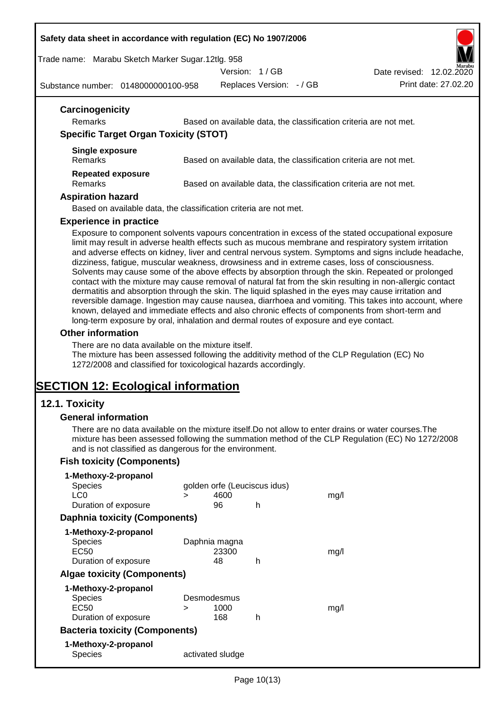#### **Safety data sheet in accordance with regulation (EC) No 1907/2006**

Trade name: Marabu Sketch Marker Sugar.12tlg. 958

Version: 1 / GB

Date revised: 12.02.2020

Substance number: 0148000000100-958

Replaces Version: - / GB Print date: 27.02.20

| Based on available data, the classification criteria are not met. |
|-------------------------------------------------------------------|
| <b>Specific Target Organ Toxicity (STOT)</b>                      |
| Based on available data, the classification criteria are not met. |
| Based on available data, the classification criteria are not met. |
|                                                                   |
|                                                                   |

#### **Experience in practice**

Exposure to component solvents vapours concentration in excess of the stated occupational exposure limit may result in adverse health effects such as mucous membrane and respiratory system irritation and adverse effects on kidney, liver and central nervous system. Symptoms and signs include headache, dizziness, fatigue, muscular weakness, drowsiness and in extreme cases, loss of consciousness. Solvents may cause some of the above effects by absorption through the skin. Repeated or prolonged contact with the mixture may cause removal of natural fat from the skin resulting in non-allergic contact dermatitis and absorption through the skin. The liquid splashed in the eyes may cause irritation and reversible damage. Ingestion may cause nausea, diarrhoea and vomiting. This takes into account, where known, delayed and immediate effects and also chronic effects of components from short-term and long-term exposure by oral, inhalation and dermal routes of exposure and eye contact.

#### **Other information**

There are no data available on the mixture itself.

The mixture has been assessed following the additivity method of the CLP Regulation (EC) No 1272/2008 and classified for toxicological hazards accordingly.

# **SECTION 12: Ecological information**

# **12.1. Toxicity**

#### **General information**

There are no data available on the mixture itself.Do not allow to enter drains or water courses.The mixture has been assessed following the summation method of the CLP Regulation (EC) No 1272/2008 and is not classified as dangerous for the environment.

# **Fish toxicity (Components)**

| 1-Methoxy-2-propanol                  |   |                              |   |      |
|---------------------------------------|---|------------------------------|---|------|
| <b>Species</b>                        |   | golden orfe (Leuciscus idus) |   |      |
| LC0                                   | ⋗ | 4600                         |   | mq/l |
| Duration of exposure                  |   | 96                           | h |      |
| <b>Daphnia toxicity (Components)</b>  |   |                              |   |      |
| 1-Methoxy-2-propanol                  |   |                              |   |      |
| Species                               |   | Daphnia magna                |   |      |
| EC50                                  |   | 23300                        |   | mq/l |
| Duration of exposure                  |   | 48                           | h |      |
| <b>Algae toxicity (Components)</b>    |   |                              |   |      |
| 1-Methoxy-2-propanol                  |   |                              |   |      |
| Species                               |   | Desmodesmus                  |   |      |
| EC50                                  | ⋗ | 1000                         |   | mq/l |
| Duration of exposure                  |   | 168                          | h |      |
| <b>Bacteria toxicity (Components)</b> |   |                              |   |      |
| 1-Methoxy-2-propanol                  |   |                              |   |      |
| Species                               |   | activated sludge             |   |      |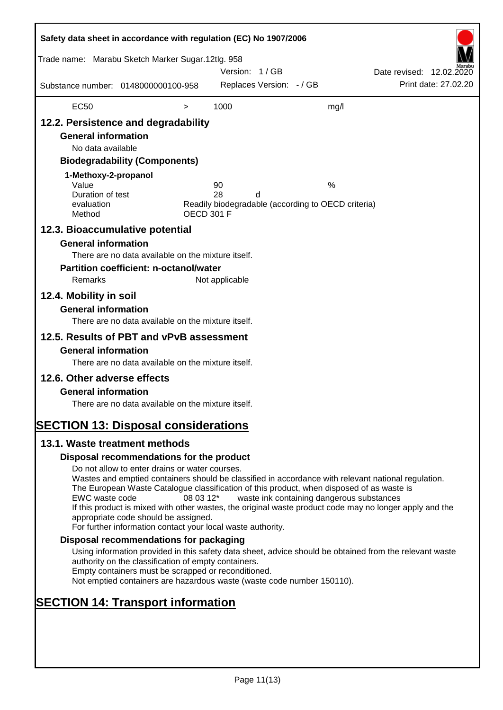| Safety data sheet in accordance with regulation (EC) No 1907/2006                                                                                                                                                                         |                                                                                                                                                                                                                                                                                                                                                                                                                                                                      |                   |                |                          |                                                         |                          |                      |
|-------------------------------------------------------------------------------------------------------------------------------------------------------------------------------------------------------------------------------------------|----------------------------------------------------------------------------------------------------------------------------------------------------------------------------------------------------------------------------------------------------------------------------------------------------------------------------------------------------------------------------------------------------------------------------------------------------------------------|-------------------|----------------|--------------------------|---------------------------------------------------------|--------------------------|----------------------|
| Trade name: Marabu Sketch Marker Sugar.12tlg. 958                                                                                                                                                                                         |                                                                                                                                                                                                                                                                                                                                                                                                                                                                      |                   | Version: 1/GB  |                          |                                                         | Date revised: 12.02.2020 |                      |
| Substance number: 0148000000100-958                                                                                                                                                                                                       |                                                                                                                                                                                                                                                                                                                                                                                                                                                                      |                   |                | Replaces Version: - / GB |                                                         |                          | Print date: 27.02.20 |
| <b>EC50</b>                                                                                                                                                                                                                               |                                                                                                                                                                                                                                                                                                                                                                                                                                                                      | $\,>$             | 1000           |                          | mg/l                                                    |                          |                      |
| 12.2. Persistence and degradability<br><b>General information</b><br>No data available<br>1-Methoxy-2-propanol<br>Value<br>Duration of test<br>evaluation<br>Method                                                                       | <b>Biodegradability (Components)</b>                                                                                                                                                                                                                                                                                                                                                                                                                                 | <b>OECD 301 F</b> | 90<br>28       | d                        | %<br>Readily biodegradable (according to OECD criteria) |                          |                      |
| 12.3. Bioaccumulative potential<br><b>General information</b><br>Remarks<br>12.4. Mobility in soil<br><b>General information</b><br>12.5. Results of PBT and vPvB assessment<br><b>General information</b><br>12.6. Other adverse effects | There are no data available on the mixture itself.<br><b>Partition coefficient: n-octanol/water</b><br>There are no data available on the mixture itself.<br>There are no data available on the mixture itself.                                                                                                                                                                                                                                                      |                   | Not applicable |                          |                                                         |                          |                      |
| <b>General information</b><br><b>SECTION 13: Disposal considerations</b>                                                                                                                                                                  | There are no data available on the mixture itself.                                                                                                                                                                                                                                                                                                                                                                                                                   |                   |                |                          |                                                         |                          |                      |
| 13.1. Waste treatment methods                                                                                                                                                                                                             |                                                                                                                                                                                                                                                                                                                                                                                                                                                                      |                   |                |                          |                                                         |                          |                      |
|                                                                                                                                                                                                                                           | Disposal recommendations for the product                                                                                                                                                                                                                                                                                                                                                                                                                             |                   |                |                          |                                                         |                          |                      |
| EWC waste code                                                                                                                                                                                                                            | Do not allow to enter drains or water courses.<br>Wastes and emptied containers should be classified in accordance with relevant national regulation.<br>The European Waste Catalogue classification of this product, when disposed of as waste is<br>If this product is mixed with other wastes, the original waste product code may no longer apply and the<br>appropriate code should be assigned.<br>For further information contact your local waste authority. | 08 03 12*         |                |                          | waste ink containing dangerous substances               |                          |                      |
|                                                                                                                                                                                                                                           | Disposal recommendations for packaging                                                                                                                                                                                                                                                                                                                                                                                                                               |                   |                |                          |                                                         |                          |                      |
|                                                                                                                                                                                                                                           | Using information provided in this safety data sheet, advice should be obtained from the relevant waste<br>authority on the classification of empty containers.<br>Empty containers must be scrapped or reconditioned.<br>Not emptied containers are hazardous waste (waste code number 150110).                                                                                                                                                                     |                   |                |                          |                                                         |                          |                      |
| <b>SECTION 14: Transport information</b>                                                                                                                                                                                                  |                                                                                                                                                                                                                                                                                                                                                                                                                                                                      |                   |                |                          |                                                         |                          |                      |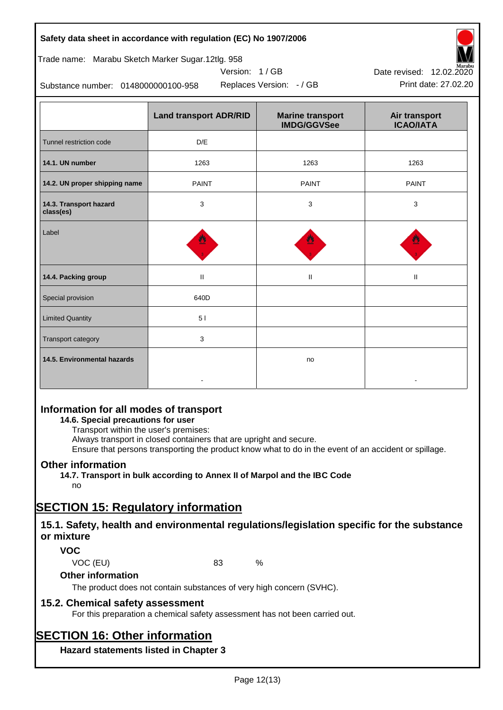# **Safety data sheet in accordance with regulation (EC) No 1907/2006**

| Trade name: Marabu Sketch Marker Sugar.12tlg. 958 |  |  |  |
|---------------------------------------------------|--|--|--|
|                                                   |  |  |  |

Substance number: 0148000000100-958

|                                     | <b>Land transport ADR/RID</b> | <b>Marine transport</b><br><b>IMDG/GGVSee</b> | Air transport<br><b>ICAO/IATA</b> |  |
|-------------------------------------|-------------------------------|-----------------------------------------------|-----------------------------------|--|
| Tunnel restriction code             | D/E                           |                                               |                                   |  |
| 14.1. UN number                     | 1263                          | 1263                                          | 1263                              |  |
| 14.2. UN proper shipping name       | <b>PAINT</b>                  | <b>PAINT</b>                                  | <b>PAINT</b>                      |  |
| 14.3. Transport hazard<br>class(es) | 3                             | 3                                             | 3                                 |  |
| Label                               |                               |                                               |                                   |  |
| 14.4. Packing group                 | $\mathbf{II}$                 | $\mathbf{H}$                                  | Ш                                 |  |
| Special provision                   | 640D                          |                                               |                                   |  |
| <b>Limited Quantity</b>             | 51                            |                                               |                                   |  |
| Transport category                  | 3                             |                                               |                                   |  |
| 14.5. Environmental hazards         |                               | no                                            |                                   |  |

Version: 1 / GB

# **Information for all modes of transport**

# **14.6. Special precautions for user**

Transport within the user's premises:

Always transport in closed containers that are upright and secure.

Ensure that persons transporting the product know what to do in the event of an accident or spillage.

# **Other information**

**14.7. Transport in bulk according to Annex II of Marpol and the IBC Code**

# no

# **SECTION 15: Regulatory information**

# **15.1. Safety, health and environmental regulations/legislation specific for the substance or mixture**

# **VOC**

VOC (EU) 83 %

# **Other information**

The product does not contain substances of very high concern (SVHC).

# **15.2. Chemical safety assessment**

For this preparation a chemical safety assessment has not been carried out.

# **SECTION 16: Other information**

**Hazard statements listed in Chapter 3**



Replaces Version: - / GB Print date: 27.02.20 Date revised: 12.02.2020